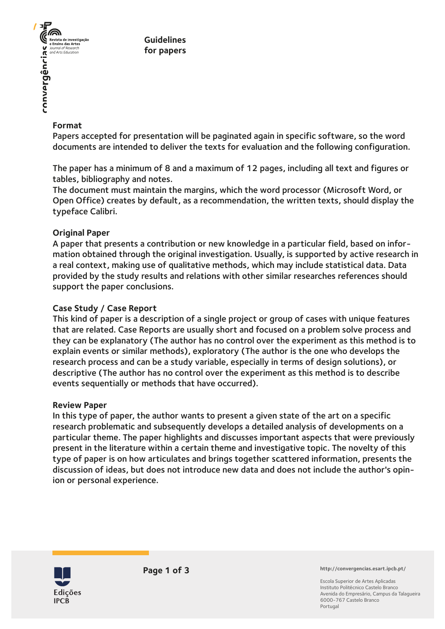

**Guidelines for papers**

## **Format**

Papers accepted for presentation will be paginated again in specific software, so the word documents are intended to deliver the texts for evaluation and the following configuration.

The paper has a minimum of 8 and a maximum of 12 pages, including all text and figures or tables, bibliography and notes.

The document must maintain the margins, which the word processor (Microsoft Word, or Open Office) creates by default, as a recommendation, the written texts, should display the typeface Calibri.

## **Original Paper**

A paper that presents a contribution or new knowledge in a particular field, based on information obtained through the original investigation. Usually, is supported by active research in a real context, making use of qualitative methods, which may include statistical data. Data provided by the study results and relations with other similar researches references should support the paper conclusions.

## **Case Study / Case Report**

This kind of paper is a description of a single project or group of cases with unique features that are related. Case Reports are usually short and focused on a problem solve process and they can be explanatory (The author has no control over the experiment as this method is to explain events or similar methods), exploratory (The author is the one who develops the research process and can be a study variable, especially in terms of design solutions), or descriptive (The author has no control over the experiment as this method is to describe events sequentially or methods that have occurred).

### **Review Paper**

In this type of paper, the author wants to present a given state of the art on a specific research problematic and subsequently develops a detailed analysis of developments on a particular theme. The paper highlights and discusses important aspects that were previously present in the literature within a certain theme and investigative topic. The novelty of this type of paper is on how articulates and brings together scattered information, presents the discussion of ideas, but does not introduce new data and does not include the author's opinion or personal experience.



**http://convergencias.esart.ipcb.pt/**

Escola Superior de Artes Aplicadas Instituto Politécnico Castelo Branco Avenida do Empresário, Campus da Talagueira 6000-767 Castelo Branco Portugal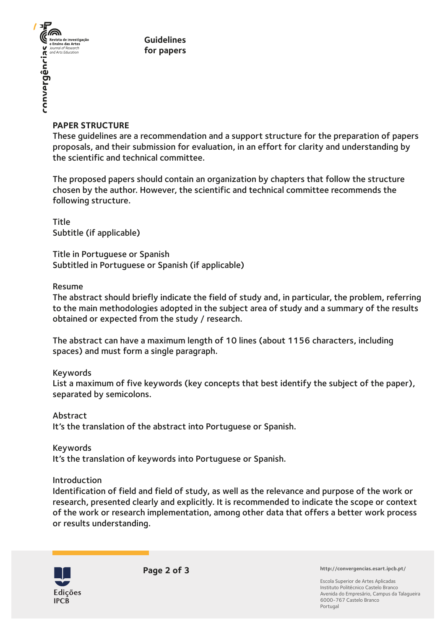

**Guidelines for papers**

## **PAPER STRUCTURE**

These guidelines are a recommendation and a support structure for the preparation of papers proposals, and their submission for evaluation, in an effort for clarity and understanding by the scientific and technical committee.

The proposed papers should contain an organization by chapters that follow the structure chosen by the author. However, the scientific and technical committee recommends the following structure.

Title Subtitle (if applicable)

Title in Portuguese or Spanish Subtitled in Portuguese or Spanish (if applicable)

## Resume

The abstract should briefly indicate the field of study and, in particular, the problem, referring to the main methodologies adopted in the subject area of study and a summary of the results obtained or expected from the study / research.

The abstract can have a maximum length of 10 lines (about 1156 characters, including spaces) and must form a single paragraph.

### Keywords

List a maximum of five keywords (key concepts that best identify the subject of the paper), separated by semicolons.

Abstract It's the translation of the abstract into Portuguese or Spanish.

Keywords It's the translation of keywords into Portuguese or Spanish.

Introduction

Identification of field and field of study, as well as the relevance and purpose of the work or research, presented clearly and explicitly. It is recommended to indicate the scope or context of the work or research implementation, among other data that offers a better work process or results understanding.



**Page 2 of 3 http://convergencias.esart.ipcb.pt/**

Escola Superior de Artes Aplicadas Instituto Politécnico Castelo Branco Avenida do Empresário, Campus da Talagueira 6000-767 Castelo Branco Portugal